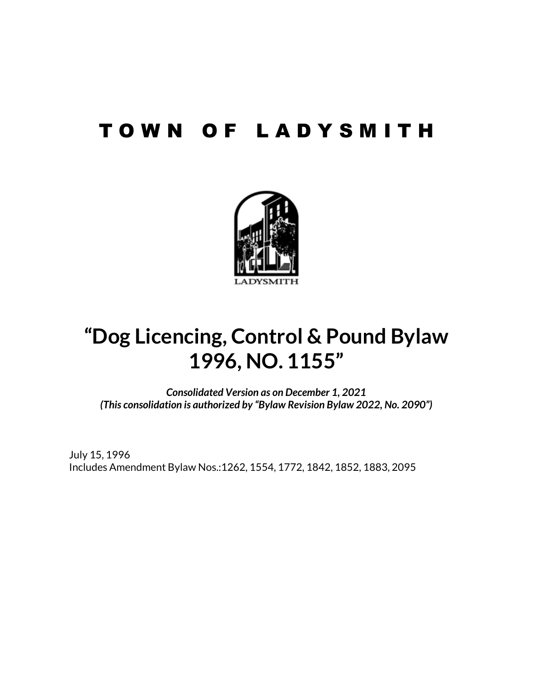## T O W N O F L A D Y S M I T H



# **"Dog Licencing, Control & Pound Bylaw 1996, NO. 1155"**

*Consolidated Version as on December 1, 2021 (This consolidation is authorized by "Bylaw Revision Bylaw 2022, No. 2090")*

July 15, 1996 Includes Amendment Bylaw Nos.:1262, 1554, 1772, 1842, 1852, 1883, 2095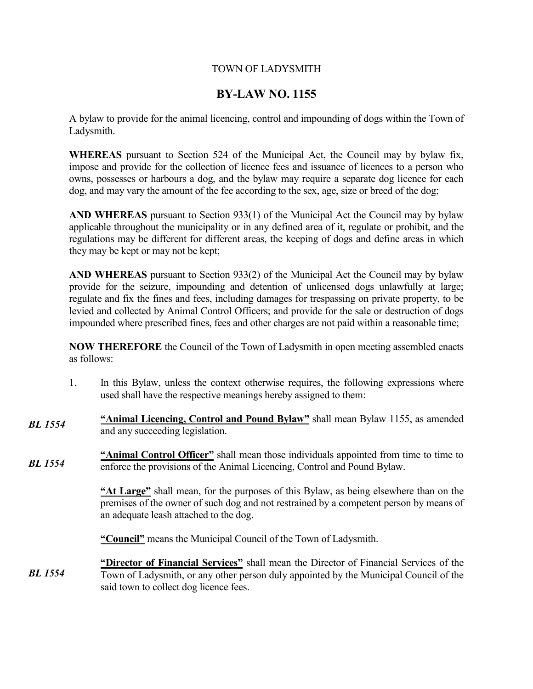#### TOWN OF LADYSMITH

### **BY-LAW NO. 1155**

A bylaw to provide for the animal licencing, control and impounding of dogs within the Town of Ladysmith.

**WHEREAS** pursuant to Section 524 of the Municipal Act, the Council may by bylaw fix, impose and provide for the collection of licence fees and issuance of licences to a person who owns, possesses or harbours a dog, and the bylaw may require a separate dog licence for each dog, and may vary the amount of the fee according to the sex, age, size or breed of the dog;

**AND WHEREAS** pursuant to Section 933(1) of the Municipal Act the Council may by bylaw applicable throughout the municipality or in any defined area of it, regulate or prohibit, and the regulations may be different for different areas, the keeping of dogs and define areas in which they may be kept or may not be kept;

**AND WHEREAS** pursuant to Section 933(2) of the Municipal Act the Council may by bylaw provide for the seizure, impounding and detention of unlicensed dogs unlawfully at large; regulate and fix the fines and fees, including damages for trespassing on private property, to be levied and collected by Animal Control Officers; and provide for the sale or destruction of dogs impounded where prescribed fines, fees and other charges are not paid within a reasonable time;

**NOW THEREFORE** the Council of the Town of Ladysmith in open meeting assembled enacts as follows:

- 1. In this Bylaw, unless the context otherwise requires, the following expressions where used shall have the respective meanings hereby assigned to them:
- **"Animal Licencing, Control and Pound Bylaw"** shall mean Bylaw 1155, as amended and any succeeding legislation. *BL 1554*

**"Animal Control Officer"** shall mean those individuals appointed from time to time to enforce the provisions of the Animal Licencing, Control and Pound Bylaw. *BL 1554*

> **"At Large"** shall mean, for the purposes of this Bylaw, as being elsewhere than on the premises of the owner of such dog and not restrained by a competent person by means of an adequate leash attached to the dog.

**"Council"** means the Municipal Council of the Town of Ladysmith.

**"Director of Financial Services"** shall mean the Director of Financial Services of the Town of Ladysmith, or any other person duly appointed by the Municipal Council of the said town to collect dog licence fees. *BL 1554*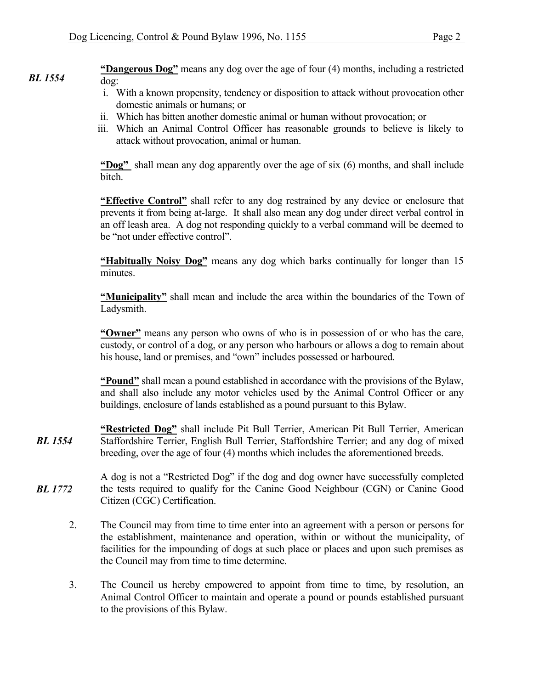**"Dangerous Dog"** means any dog over the age of four (4) months, including a restricted dog: *BL 1554*

- i. With a known propensity, tendency or disposition to attack without provocation other domestic animals or humans; or
- ii. Which has bitten another domestic animal or human without provocation; or
- iii. Which an Animal Control Officer has reasonable grounds to believe is likely to attack without provocation, animal or human.

**"Dog"** shall mean any dog apparently over the age of six (6) months, and shall include bitch.

**"Effective Control"** shall refer to any dog restrained by any device or enclosure that prevents it from being at-large. It shall also mean any dog under direct verbal control in an off leash area. A dog not responding quickly to a verbal command will be deemed to be "not under effective control".

**"Habitually Noisy Dog"** means any dog which barks continually for longer than 15 minutes.

**"Municipality"** shall mean and include the area within the boundaries of the Town of Ladysmith.

**"Owner"** means any person who owns of who is in possession of or who has the care, custody, or control of a dog, or any person who harbours or allows a dog to remain about his house, land or premises, and "own" includes possessed or harboured.

**"Pound"** shall mean a pound established in accordance with the provisions of the Bylaw, and shall also include any motor vehicles used by the Animal Control Officer or any buildings, enclosure of lands established as a pound pursuant to this Bylaw.

- **"Restricted Dog"** shall include Pit Bull Terrier, American Pit Bull Terrier, American Staffordshire Terrier, English Bull Terrier, Staffordshire Terrier; and any dog of mixed breeding, over the age of four (4) months which includes the aforementioned breeds. *BL 1554*
- A dog is not a "Restricted Dog" if the dog and dog owner have successfully completed the tests required to qualify for the Canine Good Neighbour (CGN) or Canine Good Citizen (CGC) Certification. *BL 1772*
	- 2. The Council may from time to time enter into an agreement with a person or persons for the establishment, maintenance and operation, within or without the municipality, of facilities for the impounding of dogs at such place or places and upon such premises as the Council may from time to time determine.
	- 3. The Council us hereby empowered to appoint from time to time, by resolution, an Animal Control Officer to maintain and operate a pound or pounds established pursuant to the provisions of this Bylaw.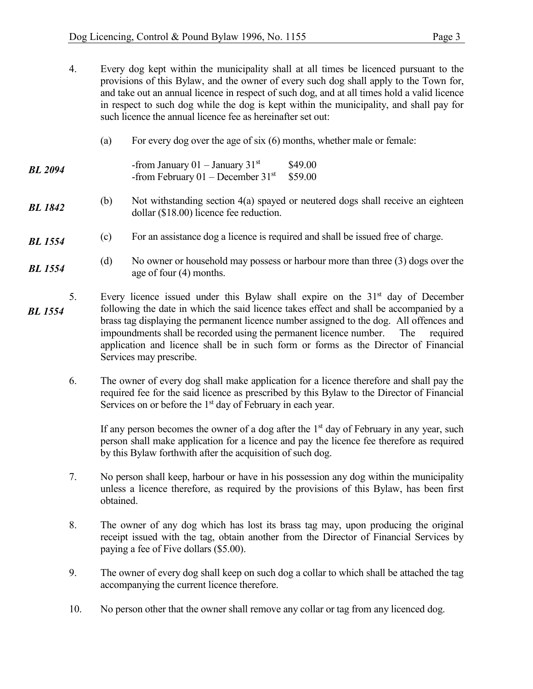| 4.                   |                                                                                                                                                                                                                                                                                                                                                                                                                                                                                   | Every dog kept within the municipality shall at all times be licenced pursuant to the<br>provisions of this Bylaw, and the owner of every such dog shall apply to the Town for,<br>and take out an annual licence in respect of such dog, and at all times hold a valid licence<br>in respect to such dog while the dog is kept within the municipality, and shall pay for<br>such licence the annual licence fee as hereinafter set out: |  |  |
|----------------------|-----------------------------------------------------------------------------------------------------------------------------------------------------------------------------------------------------------------------------------------------------------------------------------------------------------------------------------------------------------------------------------------------------------------------------------------------------------------------------------|-------------------------------------------------------------------------------------------------------------------------------------------------------------------------------------------------------------------------------------------------------------------------------------------------------------------------------------------------------------------------------------------------------------------------------------------|--|--|
|                      | (a)                                                                                                                                                                                                                                                                                                                                                                                                                                                                               | For every dog over the age of six $(6)$ months, whether male or female:                                                                                                                                                                                                                                                                                                                                                                   |  |  |
| <b>BL</b> 2094       |                                                                                                                                                                                                                                                                                                                                                                                                                                                                                   | -from January 01 - January $31st$<br>\$49.00<br>-from February $01 -$ December $31st$<br>\$59.00                                                                                                                                                                                                                                                                                                                                          |  |  |
| <b>BL</b> 1842       | (b)                                                                                                                                                                                                                                                                                                                                                                                                                                                                               | Not withstanding section 4(a) spayed or neutered dogs shall receive an eighteen<br>dollar $(\$18.00)$ licence fee reduction.                                                                                                                                                                                                                                                                                                              |  |  |
| <b>BL</b> 1554       | (c)                                                                                                                                                                                                                                                                                                                                                                                                                                                                               | For an assistance dog a licence is required and shall be issued free of charge.                                                                                                                                                                                                                                                                                                                                                           |  |  |
| <b>BL</b> 1554       | (d)                                                                                                                                                                                                                                                                                                                                                                                                                                                                               | No owner or household may possess or harbour more than three (3) dogs over the<br>age of four (4) months.                                                                                                                                                                                                                                                                                                                                 |  |  |
| 5.<br><b>BL</b> 1554 | Every licence issued under this Bylaw shall expire on the $31st$ day of December<br>following the date in which the said licence takes effect and shall be accompanied by a<br>brass tag displaying the permanent licence number assigned to the dog. All offences and<br>impoundments shall be recorded using the permanent licence number.<br>The<br>required<br>application and licence shall be in such form or forms as the Director of Financial<br>Services may prescribe. |                                                                                                                                                                                                                                                                                                                                                                                                                                           |  |  |
| 6.                   |                                                                                                                                                                                                                                                                                                                                                                                                                                                                                   | The owner of every dog shall make application for a licence therefore and shall pay the<br>required fee for the said licence as prescribed by this Bylaw to the Director of Financial<br>Services on or before the $1st$ day of February in each year.                                                                                                                                                                                    |  |  |

If any person becomes the owner of a dog after the  $1<sup>st</sup>$  day of February in any year, such person shall make application for a licence and pay the licence fee therefore as required by this Bylaw forthwith after the acquisition of such dog.

- 7. No person shall keep, harbour or have in his possession any dog within the municipality unless a licence therefore, as required by the provisions of this Bylaw, has been first obtained.
- 8. The owner of any dog which has lost its brass tag may, upon producing the original receipt issued with the tag, obtain another from the Director of Financial Services by paying a fee of Five dollars (\$5.00).
- 9. The owner of every dog shall keep on such dog a collar to which shall be attached the tag accompanying the current licence therefore.
- 10. No person other that the owner shall remove any collar or tag from any licenced dog.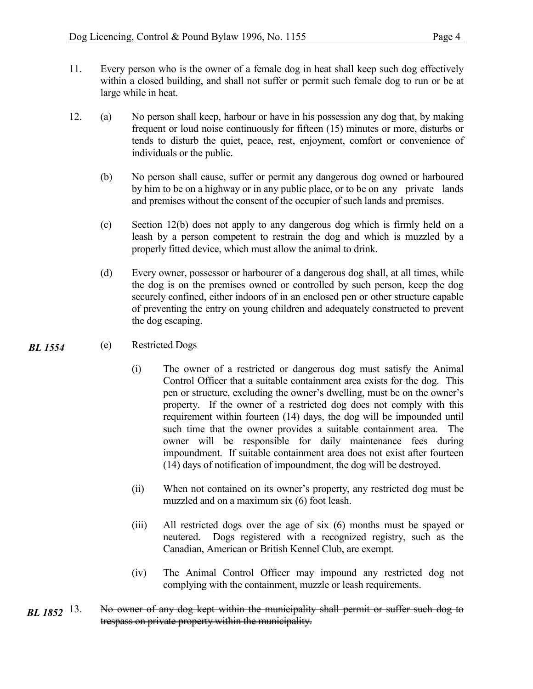- 11. Every person who is the owner of a female dog in heat shall keep such dog effectively within a closed building, and shall not suffer or permit such female dog to run or be at large while in heat.
- 12. (a) No person shall keep, harbour or have in his possession any dog that, by making frequent or loud noise continuously for fifteen (15) minutes or more, disturbs or tends to disturb the quiet, peace, rest, enjoyment, comfort or convenience of individuals or the public.
	- (b) No person shall cause, suffer or permit any dangerous dog owned or harboured by him to be on a highway or in any public place, or to be on any private lands and premises without the consent of the occupier of such lands and premises.
	- (c) Section 12(b) does not apply to any dangerous dog which is firmly held on a leash by a person competent to restrain the dog and which is muzzled by a properly fitted device, which must allow the animal to drink.
	- (d) Every owner, possessor or harbourer of a dangerous dog shall, at all times, while the dog is on the premises owned or controlled by such person, keep the dog securely confined, either indoors of in an enclosed pen or other structure capable of preventing the entry on young children and adequately constructed to prevent the dog escaping.

#### (e) Restricted Dogs *BL 1554*

- (i) The owner of a restricted or dangerous dog must satisfy the Animal Control Officer that a suitable containment area exists for the dog. This pen or structure, excluding the owner's dwelling, must be on the owner's property. If the owner of a restricted dog does not comply with this requirement within fourteen (14) days, the dog will be impounded until such time that the owner provides a suitable containment area. The owner will be responsible for daily maintenance fees during impoundment. If suitable containment area does not exist after fourteen (14) days of notification of impoundment, the dog will be destroyed.
- (ii) When not contained on its owner's property, any restricted dog must be muzzled and on a maximum six (6) foot leash.
- (iii) All restricted dogs over the age of six (6) months must be spayed or neutered. Dogs registered with a recognized registry, such as the Canadian, American or British Kennel Club, are exempt.
- (iv) The Animal Control Officer may impound any restricted dog not complying with the containment, muzzle or leash requirements.
- No owner of any dog kept within the municipality shall permit or suffer such dog to trespass on private property within the municipality. *BL* 1852 <sup>13.</sup>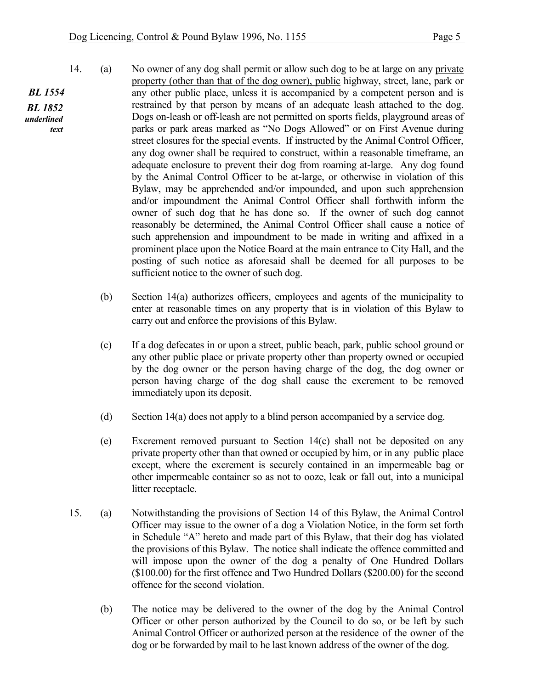- 14. (a) No owner of any dog shall permit or allow such dog to be at large on any private property (other than that of the dog owner), public highway, street, lane, park or any other public place, unless it is accompanied by a competent person and is restrained by that person by means of an adequate leash attached to the dog. Dogs on-leash or off-leash are not permitted on sports fields, playground areas of parks or park areas marked as "No Dogs Allowed" or on First Avenue during street closures for the special events. If instructed by the Animal Control Officer, any dog owner shall be required to construct, within a reasonable timeframe, an adequate enclosure to prevent their dog from roaming at-large. Any dog found by the Animal Control Officer to be at-large, or otherwise in violation of this Bylaw, may be apprehended and/or impounded, and upon such apprehension and/or impoundment the Animal Control Officer shall forthwith inform the owner of such dog that he has done so. If the owner of such dog cannot reasonably be determined, the Animal Control Officer shall cause a notice of such apprehension and impoundment to be made in writing and affixed in a prominent place upon the Notice Board at the main entrance to City Hall, and the posting of such notice as aforesaid shall be deemed for all purposes to be sufficient notice to the owner of such dog.
	- (b) Section 14(a) authorizes officers, employees and agents of the municipality to enter at reasonable times on any property that is in violation of this Bylaw to carry out and enforce the provisions of this Bylaw.
	- (c) If a dog defecates in or upon a street, public beach, park, public school ground or any other public place or private property other than property owned or occupied by the dog owner or the person having charge of the dog, the dog owner or person having charge of the dog shall cause the excrement to be removed immediately upon its deposit.
	- (d) Section 14(a) does not apply to a blind person accompanied by a service dog.
	- (e) Excrement removed pursuant to Section 14(c) shall not be deposited on any private property other than that owned or occupied by him, or in any public place except, where the excrement is securely contained in an impermeable bag or other impermeable container so as not to ooze, leak or fall out, into a municipal litter receptacle.
- 15. (a) Notwithstanding the provisions of Section 14 of this Bylaw, the Animal Control Officer may issue to the owner of a dog a Violation Notice, in the form set forth in Schedule "A" hereto and made part of this Bylaw, that their dog has violated the provisions of this Bylaw. The notice shall indicate the offence committed and will impose upon the owner of the dog a penalty of One Hundred Dollars (\$100.00) for the first offence and Two Hundred Dollars (\$200.00) for the second offence for the second violation.
	- (b) The notice may be delivered to the owner of the dog by the Animal Control Officer or other person authorized by the Council to do so, or be left by such Animal Control Officer or authorized person at the residence of the owner of the dog or be forwarded by mail to he last known address of the owner of the dog.

*BL 1554 BL 1852 underlined text*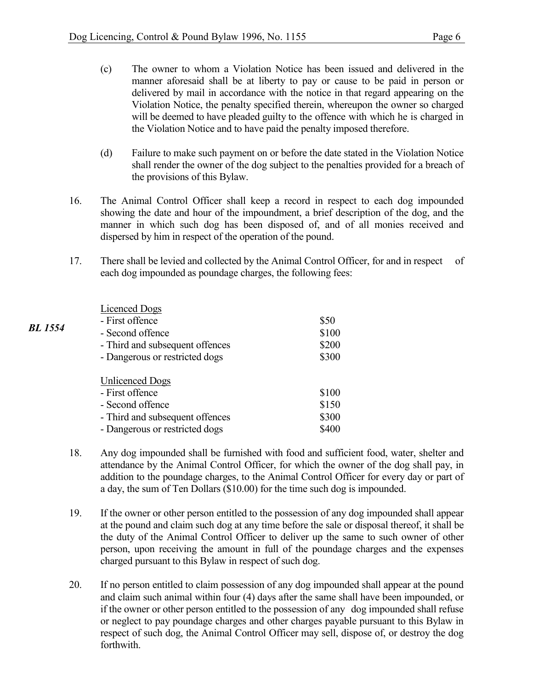- (c) The owner to whom a Violation Notice has been issued and delivered in the manner aforesaid shall be at liberty to pay or cause to be paid in person or delivered by mail in accordance with the notice in that regard appearing on the Violation Notice, the penalty specified therein, whereupon the owner so charged will be deemed to have pleaded guilty to the offence with which he is charged in the Violation Notice and to have paid the penalty imposed therefore.
- (d) Failure to make such payment on or before the date stated in the Violation Notice shall render the owner of the dog subject to the penalties provided for a breach of the provisions of this Bylaw.
- 16. The Animal Control Officer shall keep a record in respect to each dog impounded showing the date and hour of the impoundment, a brief description of the dog, and the manner in which such dog has been disposed of, and of all monies received and dispersed by him in respect of the operation of the pound.
- 17. There shall be levied and collected by the Animal Control Officer, for and in respect of each dog impounded as poundage charges, the following fees:

|                | <b>Licenced Dogs</b>            |       |
|----------------|---------------------------------|-------|
| <b>BL</b> 1554 | - First offence                 | \$50  |
|                | - Second offence                | \$100 |
|                | - Third and subsequent offences | \$200 |
|                | - Dangerous or restricted dogs  | \$300 |
|                | <b>Unlicenced Dogs</b>          |       |
|                | - First offence                 | \$100 |
|                | - Second offence                | \$150 |
|                | - Third and subsequent offences | \$300 |
|                | - Dangerous or restricted dogs  | \$400 |

- 18. Any dog impounded shall be furnished with food and sufficient food, water, shelter and attendance by the Animal Control Officer, for which the owner of the dog shall pay, in addition to the poundage charges, to the Animal Control Officer for every day or part of a day, the sum of Ten Dollars (\$10.00) for the time such dog is impounded.
- 19. If the owner or other person entitled to the possession of any dog impounded shall appear at the pound and claim such dog at any time before the sale or disposal thereof, it shall be the duty of the Animal Control Officer to deliver up the same to such owner of other person, upon receiving the amount in full of the poundage charges and the expenses charged pursuant to this Bylaw in respect of such dog.
- 20. If no person entitled to claim possession of any dog impounded shall appear at the pound and claim such animal within four (4) days after the same shall have been impounded, or if the owner or other person entitled to the possession of any dog impounded shall refuse or neglect to pay poundage charges and other charges payable pursuant to this Bylaw in respect of such dog, the Animal Control Officer may sell, dispose of, or destroy the dog forthwith.